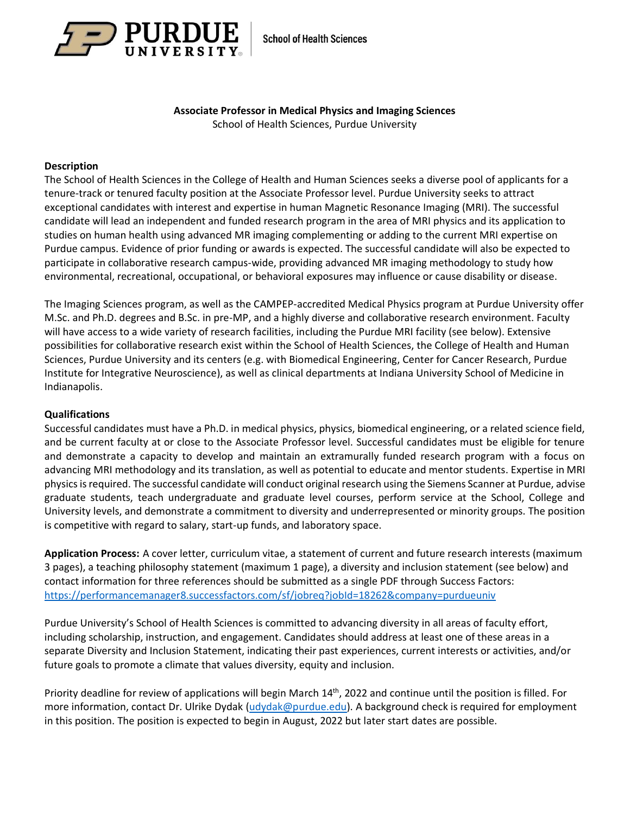

# **Associate Professor in Medical Physics and Imaging Sciences**

School of Health Sciences, Purdue University

## **Description**

The School of Health Sciences in the College of Health and Human Sciences seeks a diverse pool of applicants for a tenure-track or tenured faculty position at the Associate Professor level. Purdue University seeks to attract exceptional candidates with interest and expertise in human Magnetic Resonance Imaging (MRI). The successful candidate will lead an independent and funded research program in the area of MRI physics and its application to studies on human health using advanced MR imaging complementing or adding to the current MRI expertise on Purdue campus. Evidence of prior funding or awards is expected. The successful candidate will also be expected to participate in collaborative research campus-wide, providing advanced MR imaging methodology to study how environmental, recreational, occupational, or behavioral exposures may influence or cause disability or disease.

The Imaging Sciences program, as well as the CAMPEP-accredited Medical Physics program at Purdue University offer M.Sc. and Ph.D. degrees and B.Sc. in pre-MP, and a highly diverse and collaborative research environment. Faculty will have access to a wide variety of research facilities, including the Purdue MRI facility (see below). Extensive possibilities for collaborative research exist within the School of Health Sciences, the College of Health and Human Sciences, Purdue University and its centers (e.g. with Biomedical Engineering, Center for Cancer Research, Purdue Institute for Integrative Neuroscience), as well as clinical departments at Indiana University School of Medicine in Indianapolis.

### **Qualifications**

Successful candidates must have a Ph.D. in medical physics, physics, biomedical engineering, or a related science field, and be current faculty at or close to the Associate Professor level. Successful candidates must be eligible for tenure and demonstrate a capacity to develop and maintain an extramurally funded research program with a focus on advancing MRI methodology and its translation, as well as potential to educate and mentor students. Expertise in MRI physics is required. The successful candidate will conduct original research using the Siemens Scanner at Purdue, advise graduate students, teach undergraduate and graduate level courses, perform service at the School, College and University levels, and demonstrate a commitment to diversity and underrepresented or minority groups. The position is competitive with regard to salary, start-up funds, and laboratory space.

**Application Process:** A cover letter, curriculum vitae, a statement of current and future research interests (maximum 3 pages), a teaching philosophy statement (maximum 1 page), a diversity and inclusion statement (see below) and contact information for three references should be submitted as a single PDF through Success Factors: <https://performancemanager8.successfactors.com/sf/jobreq?jobId=18262&company=purdueuniv>

Purdue University's School of Health Sciences is committed to advancing diversity in all areas of faculty effort, including scholarship, instruction, and engagement. Candidates should address at least one of these areas in a separate Diversity and Inclusion Statement, indicating their past experiences, current interests or activities, and/or future goals to promote a climate that values diversity, equity and inclusion.

Priority deadline for review of applications will begin March 14<sup>th</sup>, 2022 and continue until the position is filled. For more information, contact Dr. Ulrike Dydak [\(udydak@purdue.edu\)](mailto:udydak@purdue.edu). A background check is required for employment in this position. The position is expected to begin in August, 2022 but later start dates are possible.